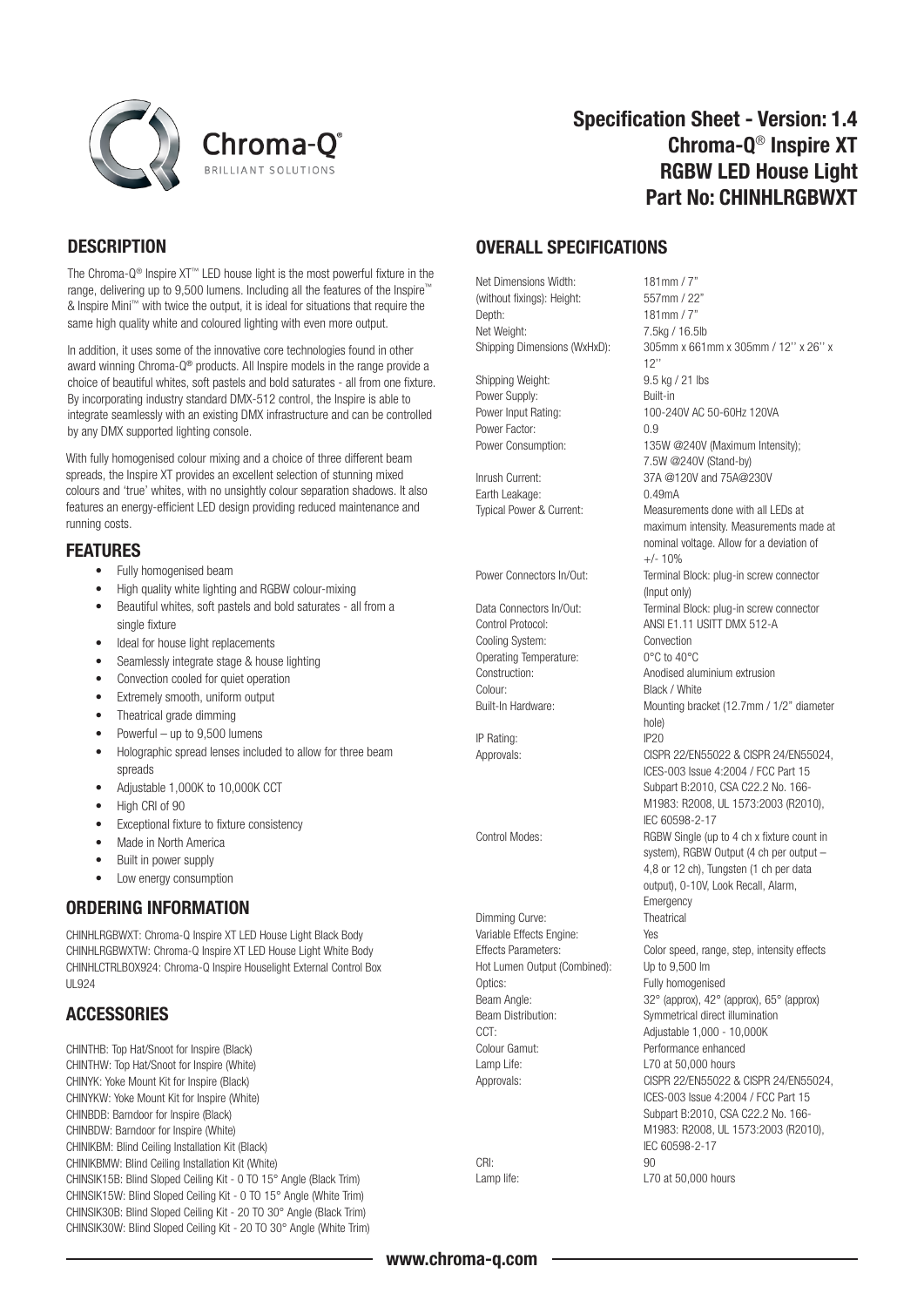



## Specification Sheet - Version: 1.4 Chroma-Q® Inspire XT RGBW LED House Light Part No: CHINHLRGBWXT

### **DESCRIPTION**

The Chroma-Q® Inspire XT™ LED house light is the most powerful fixture in the range, delivering up to 9,500 lumens. Including all the features of the Inspire™ & Inspire Mini™ with twice the output, it is ideal for situations that require the same high quality white and coloured lighting with even more output.

In addition, it uses some of the innovative core technologies found in other award winning Chroma-Q® products. All Inspire models in the range provide a choice of beautiful whites, soft pastels and bold saturates - all from one fixture. By incorporating industry standard DMX-512 control, the Inspire is able to integrate seamlessly with an existing DMX infrastructure and can be controlled by any DMX supported lighting console.

With fully homogenised colour mixing and a choice of three different beam spreads, the Inspire XT provides an excellent selection of stunning mixed colours and 'true' whites, with no unsightly colour separation shadows. It also features an energy-efficient LED design providing reduced maintenance and running costs.

#### FEATURES

- Fully homogenised beam
- High quality white lighting and RGBW colour-mixing
- Beautiful whites, soft pastels and bold saturates all from a single fixture
- Ideal for house light replacements
- Seamlessly integrate stage & house lighting
- Convection cooled for quiet operation
- Extremely smooth, uniform output
- Theatrical grade dimming
- Powerful up to 9,500 lumens
- Holographic spread lenses included to allow for three beam spreads
- Adjustable 1,000K to 10,000K CCT
- High CRI of 90
- Exceptional fixture to fixture consistency
- Made in North America
- Built in power supply
- Low energy consumption

### ORDERING INFORMATION

CHINHLRGBWXT: Chroma-Q Inspire XT LED House Light Black Body CHINHLRGBWXTW: Chroma-Q Inspire XT LED House Light White Body CHINHLCTRLBOX924: Chroma-Q Inspire Houselight External Control Box  $III$  Q24

### **ACCESSORIES**

CHINTHB: Top Hat/Snoot for Inspire (Black) CHINTHW: Top Hat/Snoot for Inspire (White) CHINYK: Yoke Mount Kit for Inspire (Black) CHINYKW: Yoke Mount Kit for Inspire (White) CHINBDB: Barndoor for Inspire (Black) CHINBDW: Barndoor for Inspire (White) CHINIKBM: Blind Ceiling Installation Kit (Black) CHINIKBMW: Blind Ceiling Installation Kit (White) CHINSIK15B: Blind Sloped Ceiling Kit - 0 TO 15° Angle (Black Trim) CHINSIK15W: Blind Sloped Ceiling Kit - 0 TO 15° Angle (White Trim) CHINSIK30B: Blind Sloped Ceiling Kit - 20 TO 30° Angle (Black Trim) CHINSIK30W: Blind Sloped Ceiling Kit - 20 TO 30° Angle (White Trim)

#### OVERALL SPECIFICATIONS

Net Dimensions Width: 181mm / 7"<br>(without fixings): Height: 557mm / 22" (without fixings): Height: Depth: 181mm / 7 Net Weight: 7.5kg / 16.5lb

Shipping Weight: 9.5 kg / 21 lbs Power Supply: Built-in Power Factor: 0.9

Earth Leakage: 0.49mA

Cooling System: Convection Operating Temperature: 0°C to 40°C<br>Construction: Anodised alu Colour: Black / White

IP Rating:

Dimming Curve: Theatrical Variable Effects Engine: Yes Hot Lumen Output (Combined): Up to 9,500 lm Optics: Fully homogenised CCT: Adjustable 1,000 - 10,000K Colour Gamut: Performance enhanced Lamp Life: L70 at 50,000 hours

CRI: 90

Shipping Dimensions (WxHxD): 305mm x 661mm x 305mm / 12'' x 26'' x 12'' Power Input Rating: 100-240V AC 50-60Hz 120VA Power Consumption: 135W @240V (Maximum Intensity); 7.5W @240V (Stand-by) Inrush Current: 37A @120V and 75A@230V Typical Power & Current: Measurements done with all LEDs at maximum intensity. Measurements made at nominal voltage. Allow for a deviation of  $+/- 10%$ Power Connectors In/Out: Terminal Block: plug-in screw connector (Input only) Data Connectors In/Out: Terminal Block: plug-in screw connector Control Protocol: ANSI E1.11 USITT DMX 512-A Anodised aluminium extrusion Built-In Hardware: Mounting bracket (12.7mm / 1/2" diameter hole)<br>IP20 Approvals: CISPR 22/EN55022 & CISPR 24/EN55024, ICES-003 Issue 4:2004 / FCC Part 15 Subpart B:2010, CSA C22.2 No. 166- M1983: R2008, UL 1573:2003 (R2010), IEC 60598-2-17 Control Modes: RGBW Single (up to 4 ch x fixture count in system), RGBW Output (4 ch per output – 4,8 or 12 ch), Tungsten (1 ch per data output), 0-10V, Look Recall, Alarm, Emergency Effects Parameters: Color speed, range, step, intensity effects Beam Angle: 32° (approx), 42° (approx), 65° (approx) Beam Distribution: Symmetrical direct illumination Approvals: CISPR 22/EN55022 & CISPR 24/EN55024, ICES-003 Issue 4:2004 / FCC Part 15 Subpart B:2010, CSA C22.2 No. 166- M1983: R2008, UL 1573:2003 (R2010), IEC 60598-2-17 Lamp life: L70 at 50,000 hours